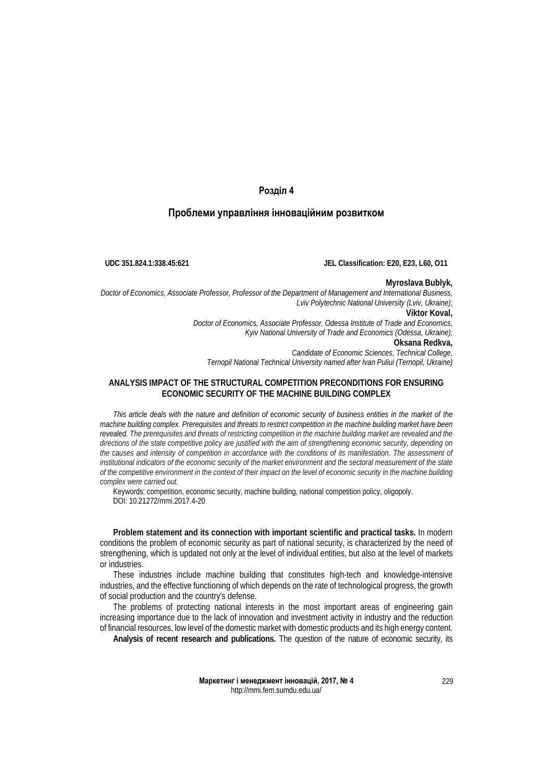# **Розділ 4**

## **Проблеми управління інноваційним розвитком**

**UDC 351.824.1:338.45:621 JEL Classification: E20, E23, L60, O11**

### **Myroslava Bublyk,**

*Doctor of Economics, Associate Professor, Professor of the Department of Management and International Business, Lviv Polytechnic National University (Lviv, Ukraine);* **Viktor Koval,** *Doctor of Economics, Associate Professor, Odessa Institute of Trade and Economics,*

*Kyiv National University of Trade and Economics (Odessa, Ukraine);* **Oksana Redkva,**

*Candidate of Economic Sciences, Technical College,* 

*Ternopil National Technical University named after Ivan Puliui (Ternopil, Ukraine)*

# **ANALYSIS IMPACT OF THE STRUCTURAL COMPETITION PRECONDITIONS FOR ENSURING ECONOMIC SECURITY OF THE MACHINE BUILDING COMPLEX**

*This article deals with the nature and definition of economic security of business entities in the market of the machine building complex. Prerequisites and threats to restrict competition in the machine building market have been*  revealed. The prerequisites and threats of restricting competition in the machine building market are revealed and the *directions of the state competitive policy are justified with the aim of strengthening economic security, depending on*  the causes and intensity of competition in accordance with the conditions of its manifestation. The assessment of *institutional indicators of the economic security of the market environment and the sectoral measurement of the state of the competitive environment in the context of their impact on the level of economic security in the machine building complex were carried out.*

Keywords: competition, economic security, machine building, national competition policy, oligopoly. DOI: 10.21272/mmi.2017.4-20

**Problem statement and its connection with important scientific and practical tasks.** In modern conditions the problem of economic security as part of national security, is characterized by the need of strengthening, which is updated not only at the level of individual entities, but also at the level of markets or industries.

These industries include machine building that constitutes high-tech and knowledge-intensive industries, and the effective functioning of which depends on the rate of technological progress, the growth of social production and the country's defense.

The problems of protecting national interests in the most important areas of engineering gain increasing importance due to the lack of innovation and investment activity in industry and the reduction of financial resources, low level of the domestic market with domestic products and its high energy content.

**Analysis of recent research and publications.** The question of the nature of economic security, its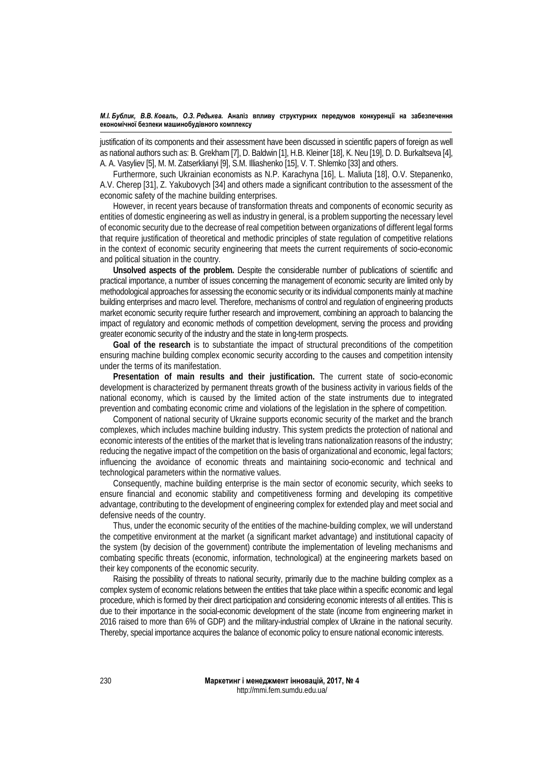justification of its components and their assessment have been discussed in scientific papers of foreign as well as national authors such as: B. Grekham [7], D. Baldwin [1], H.B. Kleiner [18], K. Neu [19], D. D. Burkaltseva [4], A. A. Vasyliev [5], M. M. Zatserklianyi [9], S.M. Illiashenko [15], V. T. Shlemko [33] and others.

Furthermore, such Ukrainian economists as N.P. Karachyna [16], L. Maliuta [18], O.V. Stepanenko, A.V. Cherep [31], Z. Yakubovych [34] and others made a significant contribution to the assessment of the economic safety of the machine building enterprises.

However, in recent years because of transformation threats and components of economic security as entities of domestic engineering as well as industry in general, is a problem supporting the necessary level of economic security due to the decrease of real competition between organizations of different legal forms that require justification of theoretical and methodic principles of state regulation of competitive relations in the context of economic security engineering that meets the current requirements of socio-economic and political situation in the country.

**Unsolved aspects of the problem.** Despite the considerable number of publications of scientific and practical importance, a number of issues concerning the management of economic security are limited only by methodological approaches for assessing the economic security or its individual components mainly at machine building enterprises and macro level. Therefore, mechanisms of control and regulation of engineering products market economic security require further research and improvement, combining an approach to balancing the impact of regulatory and economic methods of competition development, serving the process and providing greater economic security of the industry and the state in long-term prospects.

**Goal of the research** is to substantiate the impact of structural preconditions of the competition ensuring machine building complex economic security according to the causes and competition intensity under the terms of its manifestation.

**Presentation of main results and their justification.** The current state of socio-economic development is characterized by permanent threats growth of the business activity in various fields of the national economy, which is caused by the limited action of the state instruments due to integrated prevention and combating economic crime and violations of the legislation in the sphere of competition.

Component of national security of Ukraine supports economic security of the market and the branch complexes, which includes machine building industry. This system predicts the protection of national and economic interests of the entities of the market that is leveling trans nationalization reasons of the industry; reducing the negative impact of the competition on the basis of organizational and economic, legal factors; influencing the avoidance of economic threats and maintaining socio-economic and technical and technological parameters within the normative values.

Consequently, machine building enterprise is the main sector of economic security, which seeks to ensure financial and economic stability and competitiveness forming and developing its competitive advantage, contributing to the development of engineering complex for extended play and meet social and defensive needs of the country.

Thus, under the economic security of the entities of the machine-building complex, we will understand the competitive environment at the market (a significant market advantage) and institutional capacity of the system (by decision of the government) contribute the implementation of leveling mechanisms and combating specific threats (economic, information, technological) at the engineering markets based on their key components of the economic security.

Raising the possibility of threats to national security, primarily due to the machine building complex as a complex system of economic relations between the entities that take place within a specific economic and legal procedure, which is formed by their direct participation and considering economic interests of all entities. This is due to their importance in the social-economic development of the state (income from engineering market in 2016 raised to more than 6% of GDP) and the military-industrial complex of Ukraine in the national security. Thereby, special importance acquires the balance of economic policy to ensure national economic interests.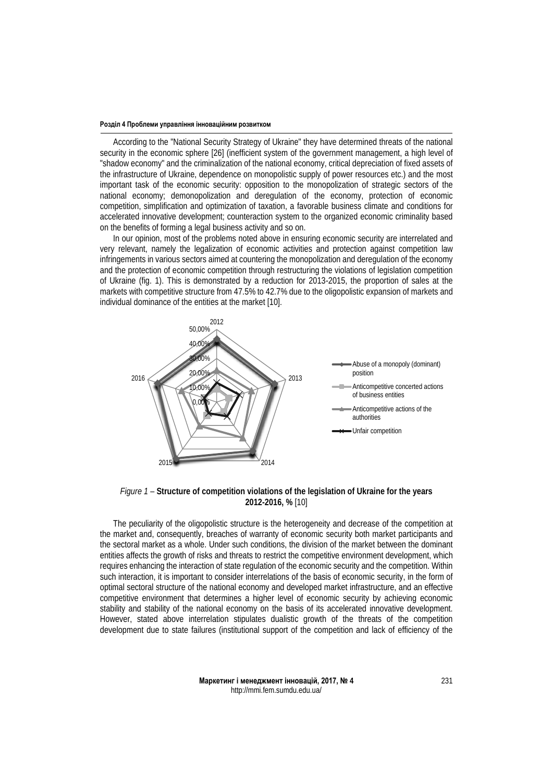According to the "National Security Strategy of Ukraine" they have determined threats of the national security in the economic sphere [26] (inefficient system of the government management, a high level of "shadow economy" and the criminalization of the national economy, critical depreciation of fixed assets of the infrastructure of Ukraine, dependence on monopolistic supply of power resources etc.) and the most important task of the economic security: opposition to the monopolization of strategic sectors of the national economy; demonopolization and deregulation of the economy, protection of economic competition, simplification and optimization of taxation, a favorable business climate and conditions for accelerated innovative development; counteraction system to the organized economic criminality based on the benefits of forming a legal business activity and so on.

In our opinion, most of the problems noted above in ensuring economic security are interrelated and very relevant, namely the legalization of economic activities and protection against competition law infringements in various sectors aimed at countering the monopolization and deregulation of the economy and the protection of economic competition through restructuring the violations of legislation competition of Ukraine (fig. 1). This is demonstrated by a reduction for 2013-2015, the proportion of sales at the markets with competitive structure from 47.5% to 42.7% due to the oligopolistic expansion of markets and individual dominance of the entities at the market [10].



*Figure 1* – **Structure of competition violations of the legislation of Ukraine for the years 2012-2016, %** [10]

The peculiarity of the oligopolistic structure is the heterogeneity and decrease of the competition at the market and, consequently, breaches of warranty of economic security both market participants and the sectoral market as a whole. Under such conditions, the division of the market between the dominant entities affects the growth of risks and threats to restrict the competitive environment development, which requires enhancing the interaction of state regulation of the economic security and the competition. Within such interaction, it is important to consider interrelations of the basis of economic security, in the form of optimal sectoral structure of the national economy and developed market infrastructure, and an effective competitive environment that determines a higher level of economic security by achieving economic stability and stability of the national economy on the basis of its accelerated innovative development. However, stated above interrelation stipulates dualistic growth of the threats of the competition development due to state failures (institutional support of the competition and lack of efficiency of the

> **Маркетинг і менеджмент інновацій, 2017, № 4** http://mmi.fem.sumdu.edu.ua/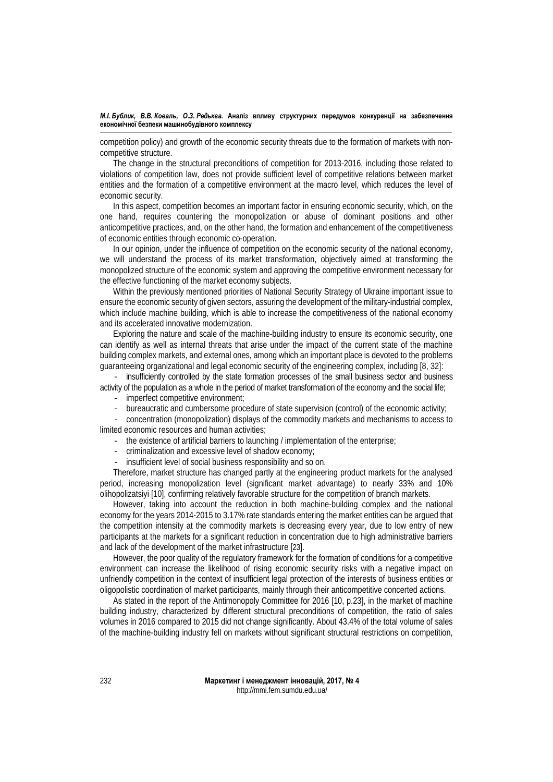competition policy) and growth of the economic security threats due to the formation of markets with noncompetitive structure.

The change in the structural preconditions of competition for 2013-2016, including those related to violations of competition law, does not provide sufficient level of competitive relations between market entities and the formation of a competitive environment at the macro level, which reduces the level of economic security.

In this aspect, competition becomes an important factor in ensuring economic security, which, on the one hand, requires countering the monopolization or abuse of dominant positions and other anticompetitive practices, and, on the other hand, the formation and enhancement of the competitiveness of economic entities through economic co-operation.

In our opinion, under the influence of competition on the economic security of the national economy, we will understand the process of its market transformation, objectively aimed at transforming the monopolized structure of the economic system and approving the competitive environment necessary for the effective functioning of the market economy subjects.

Within the previously mentioned priorities of National Security Strategy of Ukraine important issue to ensure the economic security of given sectors, assuring the development of the military-industrial complex, which include machine building, which is able to increase the competitiveness of the national economy and its accelerated innovative modernization.

Exploring the nature and scale of the machine-building industry to ensure its economic security, one can identify as well as internal threats that arise under the impact of the current state of the machine building complex markets, and external ones, among which an important place is devoted to the problems guaranteeing organizational and legal economic security of the engineering complex, including [8, 32]:

- insufficiently controlled by the state formation processes of the small business sector and business activity of the population as a whole in the period of market transformation of the economy and the social life;

- imperfect competitive environment;
- bureaucratic and cumbersome procedure of state supervision (control) of the economic activity;

- concentration (monopolization) displays of the commodity markets and mechanisms to access to limited economic resources and human activities;

- the existence of artificial barriers to launching / implementation of the enterprise;
- criminalization and excessive level of shadow economy;
- insufficient level of social business responsibility and so on.

Therefore, market structure has changed partly at the engineering product markets for the analysed period, increasing monopolization level (significant market advantage) to nearly 33% and 10% olihopolizatsiyi [10], confirming relatively favorable structure for the competition of branch markets.

However, taking into account the reduction in both machine-building complex and the national economy for the years 2014-2015 to 3.17% rate standards entering the market entities can be argued that the competition intensity at the commodity markets is decreasing every year, due to low entry of new participants at the markets for a significant reduction in concentration due to high administrative barriers and lack of the development of the market infrastructure [23].

However, the poor quality of the regulatory framework for the formation of conditions for a competitive environment can increase the likelihood of rising economic security risks with a negative impact on unfriendly competition in the context of insufficient legal protection of the interests of business entities or oligopolistic coordination of market participants, mainly through their anticompetitive concerted actions.

As stated in the report of the Antimonopoly Committee for 2016 [10, p.23], in the market of machine building industry, characterized by different structural preconditions of competition, the ratio of sales volumes in 2016 compared to 2015 did not change significantly. About 43.4% of the total volume of sales of the machine-building industry fell on markets without significant structural restrictions on competition,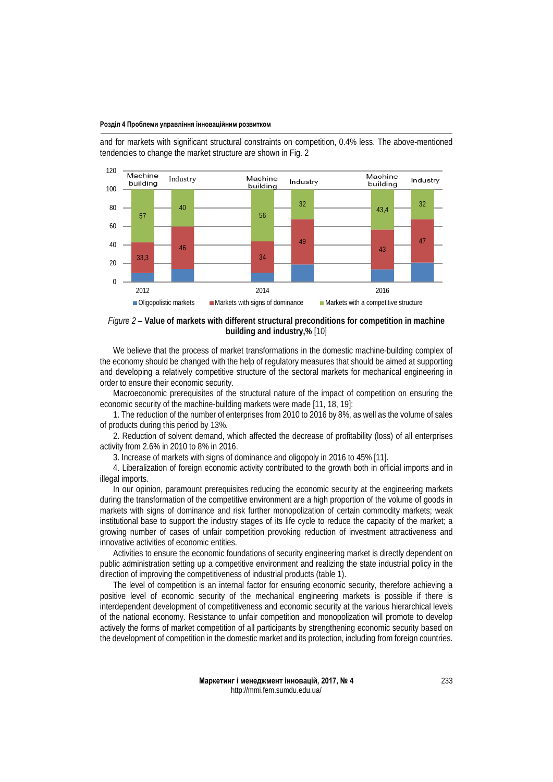and for markets with significant structural constraints on competition, 0.4% less. The above-mentioned tendencies to change the market structure are shown in Fig. 2



## *Figure 2* – **Value of markets with different structural preconditions for competition in machine building and industry,%** [10]

We believe that the process of market transformations in the domestic machine-building complex of the economy should be changed with the help of regulatory measures that should be aimed at supporting and developing a relatively competitive structure of the sectoral markets for mechanical engineering in order to ensure their economic security.

Macroeconomic prerequisites of the structural nature of the impact of competition on ensuring the economic security of the machine-building markets were made [11, 18, 19]:

1. The reduction of the number of enterprises from 2010 to 2016 by 8%, as well as the volume of sales of products during this period by 13%.

2. Reduction of solvent demand, which affected the decrease of profitability (loss) of all enterprises activity from 2.6% in 2010 to 8% in 2016.

3. Increase of markets with signs of dominance and oligopoly in 2016 to 45% [11].

4. Liberalization of foreign economic activity contributed to the growth both in official imports and in illegal imports.

In our opinion, paramount prerequisites reducing the economic security at the engineering markets during the transformation of the competitive environment are a high proportion of the volume of goods in markets with signs of dominance and risk further monopolization of certain commodity markets; weak institutional base to support the industry stages of its life cycle to reduce the capacity of the market; a growing number of cases of unfair competition provoking reduction of investment attractiveness and innovative activities of economic entities.

Activities to ensure the economic foundations of security engineering market is directly dependent on public administration setting up a competitive environment and realizing the state industrial policy in the direction of improving the competitiveness of industrial products (table 1).

The level of competition is an internal factor for ensuring economic security, therefore achieving a positive level of economic security of the mechanical engineering markets is possible if there is interdependent development of competitiveness and economic security at the various hierarchical levels of the national economy. Resistance to unfair competition and monopolization will promote to develop actively the forms of market competition of all participants by strengthening economic security based on the development of competition in the domestic market and its protection, including from foreign countries.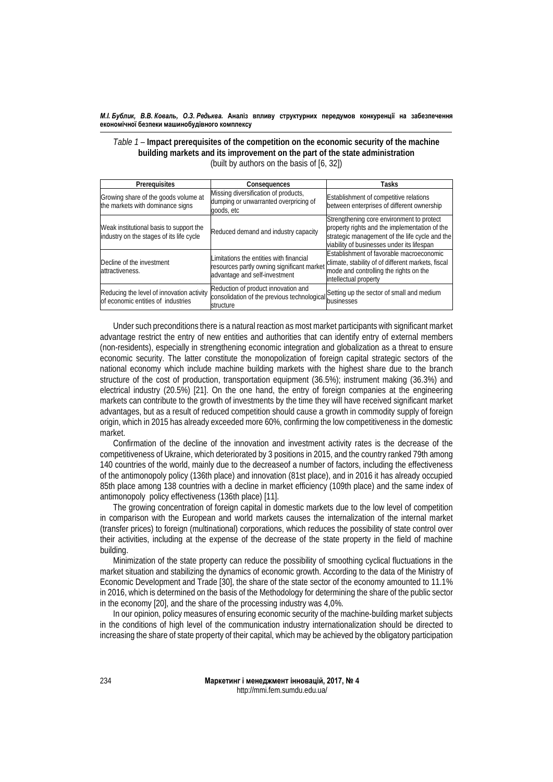*Table 1* – **Impact prerequisites of the competition on the economic security of the machine building markets and its improvement on the part of the state administration** (built by authors on the basis of [6, 32])

| Prerequisites                                                                       | Consequences                                                                                                           | Tasks                                                                                                                                                                                      |  |
|-------------------------------------------------------------------------------------|------------------------------------------------------------------------------------------------------------------------|--------------------------------------------------------------------------------------------------------------------------------------------------------------------------------------------|--|
| Growing share of the goods volume at<br>the markets with dominance signs            | Missing diversification of products,<br>dumping or unwarranted overpricing of<br>goods, etc                            | Establishment of competitive relations<br>between enterprises of different ownership                                                                                                       |  |
| Weak institutional basis to support the<br>industry on the stages of its life cycle | Reduced demand and industry capacity                                                                                   | Strengthening core environment to protect<br>property rights and the implementation of the<br>strategic management of the life cycle and the<br>viability of businesses under its lifespan |  |
| Decline of the investment<br>attractiveness.                                        | Limitations the entities with financial<br>resources partly owning significant market<br>advantage and self-investment | Establishment of favorable macroeconomic<br>climate, stability of of different markets, fiscal<br>mode and controlling the rights on the<br>intellectual property                          |  |
| Reducing the level of innovation activity<br>of economic entities of industries     | Reduction of product innovation and<br>consolidation of the previous technological<br>structure                        | Setting up the sector of small and medium<br>businesses                                                                                                                                    |  |

Under such preconditions there is a natural reaction as most market participants with significant market advantage restrict the entry of new entities and authorities that can identify entry of external members (non-residents), especially in strengthening economic integration and globalization as a threat to ensure economic security. The latter constitute the monopolization of foreign capital strategic sectors of the national economy which include machine building markets with the highest share due to the branch structure of the cost of production, transportation equipment (36.5%); instrument making (36.3%) and electrical industry (20.5%) [21]. On the one hand, the entry of foreign companies at the engineering markets can contribute to the growth of investments by the time they will have received significant market advantages, but as a result of reduced competition should cause a growth in commodity supply of foreign origin, which in 2015 has already exceeded more 60%, confirming the low competitiveness in the domestic market.

Confirmation of the decline of the innovation and investment activity rates is the decrease of the competitiveness of Ukraine, which deteriorated by 3 positions in 2015, and the country ranked 79th among 140 countries of the world, mainly due to the decreaseof a number of factors, including the effectiveness of the antimonopoly policy (136th place) and innovation (81st place), and in 2016 it has already occupied 85th place among 138 countries with a decline in market efficiency (109th place) and the same index of antimonopoly policy effectiveness (136th place) [11].

The growing concentration of foreign capital in domestic markets due to the low level of competition in comparison with the European and world markets causes the internalization of the internal market (transfer prices) to foreign (multinational) corporations, which reduces the possibility of state control over their activities, including at the expense of the decrease of the state property in the field of machine building.

Minimization of the state property can reduce the possibility of smoothing cyclical fluctuations in the market situation and stabilizing the dynamics of economic growth. According to the data of the Ministry of Economic Development and Trade [30], the share of the state sector of the economy amounted to 11.1% in 2016, which is determined on the basis of the Methodology for determining the share of the public sector in the economy [20], and the share of the processing industry was 4,0%.

In our opinion, policy measures of ensuring economic security of the machine-building market subjects in the conditions of high level of the communication industry internationalization should be directed to increasing the share of state property of their capital, which may be achieved by the obligatory participation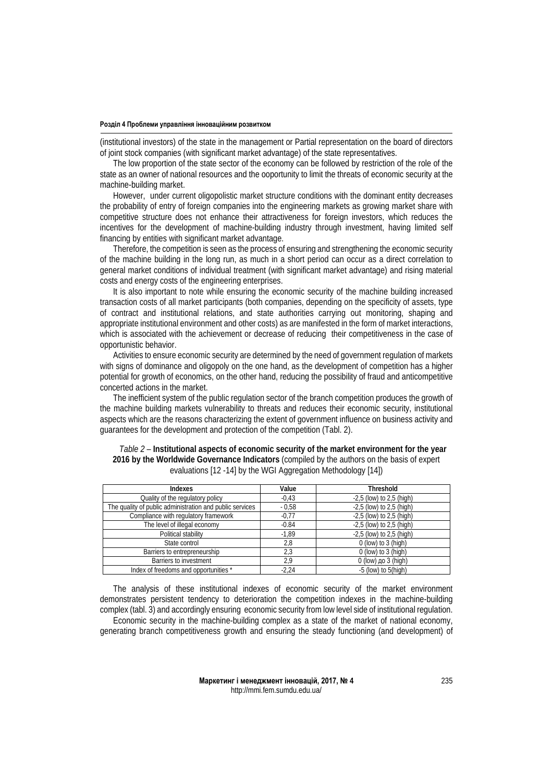(institutional investors) of the state in the management or Partial representation on the board of directors of joint stock companies (with significant market advantage) of the state representatives.

The low proportion of the state sector of the economy can be followed by restriction of the role of the state as an owner of national resources and the ooportunity to limit the threats of economic security at the machine-building market.

However, under current oligopolistic market structure conditions with the dominant entity decreases the probability of entry of foreign companies into the engineering markets as growing market share with competitive structure does not enhance their attractiveness for foreign investors, which reduces the incentives for the development of machine-building industry through investment, having limited self financing by entities with significant market advantage.

Therefore, the competition is seen as the process of ensuring and strengthening the economic security of the machine building in the long run, as much in a short period can occur as a direct correlation to general market conditions of individual treatment (with significant market advantage) and rising material costs and energy costs of the engineering enterprises.

It is also important to note while ensuring the economic security of the machine building increased transaction costs of all market participants (both companies, depending on the specificity of assets, type of contract and institutional relations, and state authorities carrying out monitoring, shaping and appropriate institutional environment and other costs) as are manifested in the form of market interactions, which is associated with the achievement or decrease of reducing their competitiveness in the case of opportunistic behavior.

Activities to ensure economic security are determined by the need of government regulation of markets with signs of dominance and oligopoly on the one hand, as the development of competition has a higher potential for growth of economics, on the other hand, reducing the possibility of fraud and anticompetitive concerted actions in the market.

The inefficient system of the public regulation sector of the branch competition produces the growth of the machine building markets vulnerability to threats and reduces their economic security, institutional aspects which are the reasons characterizing the extent of government influence on business activity and guarantees for the development and protection of the competition (Tabl. 2).

| <b>Indexes</b>                                           | Value   | <b>Threshold</b>             |
|----------------------------------------------------------|---------|------------------------------|
| Quality of the regulatory policy                         | $-0.43$ | $-2,5$ (low) to $2,5$ (high) |
| The quality of public administration and public services | $-0.58$ | $-2,5$ (low) to $2,5$ (high) |
| Compliance with regulatory framework                     | $-0,77$ | $-2,5$ (low) to $2,5$ (high) |
| The level of illegal economy                             | $-0.84$ | $-2,5$ (low) to $2,5$ (high) |
| Political stability                                      | $-1,89$ | $-2,5$ (low) to $2,5$ (high) |
| State control                                            | 2,8     | $0$ (low) to $3$ (high)      |
| Barriers to entrepreneurship                             | 2,3     | $0$ (low) to $3$ (high)      |
| Barriers to investment                                   | 2,9     | 0 (low) до $3$ (high)        |
| Index of freedoms and opportunities *                    | $-2.24$ | $-5$ (low) to $5$ (high)     |

| Table 2 – Institutional aspects of economic security of the market environment for the year |
|---------------------------------------------------------------------------------------------|
| 2016 by the Worldwide Governance Indicators (compiled by the authors on the basis of expert |
| evaluations [12 -14] by the WGI Aggregation Methodology [14])                               |

The analysis of these institutional indexes of economic security of the market environment demonstrates persistent tendency to deterioration the competition indexes in the machine-building complex (tabl. 3) and accordingly ensuring economic security from low level side of institutional regulation. Economic security in the machine-building complex as a state of the market of national economy, generating branch competitiveness growth and ensuring the steady functioning (and development) of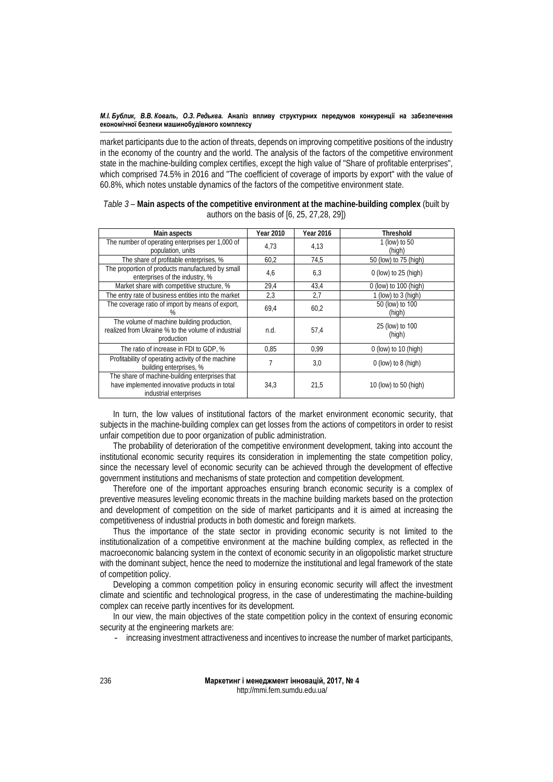market participants due to the action of threats, depends on improving competitive positions of the industry in the economy of the country and the world. The analysis of the factors of the competitive environment state in the machine-building complex certifies, except the high value of "Share of profitable enterprises", which comprised 74.5% in 2016 and "The coefficient of coverage of imports by export" with the value of 60.8%, which notes unstable dynamics of the factors of the competitive environment state.

| Main aspects                                                                                                              | Year 2010 | <b>Year 2016</b> | <b>Threshold</b>          |
|---------------------------------------------------------------------------------------------------------------------------|-----------|------------------|---------------------------|
| The number of operating enterprises per 1,000 of<br>population, units                                                     | 4,73      | 4,13             | 1 (low) to 50<br>(high)   |
| The share of profitable enterprises, %                                                                                    | 60,2      | 74,5             | 50 (low) to 75 (high)     |
| The proportion of products manufactured by small<br>enterprises of the industry, %                                        | 4,6       | 6,3              | $0$ (low) to 25 (high)    |
| Market share with competitive structure, %                                                                                | 29,4      | 43,4             | 0 (low) to 100 (high)     |
| The entry rate of business entities into the market                                                                       | 2,3       | 2,7              | 1 (low) to 3 (high)       |
| The coverage ratio of import by means of export,                                                                          | 69,4      | 60,2             | 50 (low) to 100<br>(high) |
| The volume of machine building production,<br>realized from Ukraine % to the volume of industrial<br>production           | n.d.      | 57,4             | 25 (low) to 100<br>(high) |
| The ratio of increase in FDI to GDP, %                                                                                    | 0.85      | 0.99             | $0$ (low) to 10 (high)    |
| Profitability of operating activity of the machine<br>building enterprises, %                                             | 7         | 3,0              | $0$ (low) to 8 (high)     |
| The share of machine-building enterprises that<br>have implemented innovative products in total<br>industrial enterprises | 34,3      | 21,5             | 10 (low) to 50 (high)     |

| Table 3 – Main aspects of the competitive environment at the machine-building complex (built by |
|-------------------------------------------------------------------------------------------------|
| authors on the basis of [6, 25, 27, 28, 29])                                                    |

In turn, the low values of institutional factors of the market environment economic security, that subjects in the machine-building complex can get losses from the actions of competitors in order to resist unfair competition due to poor organization of public administration.

The probability of deterioration of the competitive environment development, taking into account the institutional economic security requires its consideration in implementing the state competition policy, since the necessary level of economic security can be achieved through the development of effective government institutions and mechanisms of state protection and competition development.

Therefore one of the important approaches ensuring branch economic security is a complex of preventive measures leveling economic threats in the machine building markets based on the protection and development of competition on the side of market participants and it is aimed at increasing the competitiveness of industrial products in both domestic and foreign markets.

Thus the importance of the state sector in providing economic security is not limited to the institutionalization of a competitive environment at the machine building complex, as reflected in the macroeconomic balancing system in the context of economic security in an oligopolistic market structure with the dominant subject, hence the need to modernize the institutional and legal framework of the state of competition policy.

Developing a common competition policy in ensuring economic security will affect the investment climate and scientific and technological progress, in the case of underestimating the machine-building complex can receive partly incentives for its development.

In our view, the main objectives of the state competition policy in the context of ensuring economic security at the engineering markets are:

- increasing investment attractiveness and incentives to increase the number of market participants,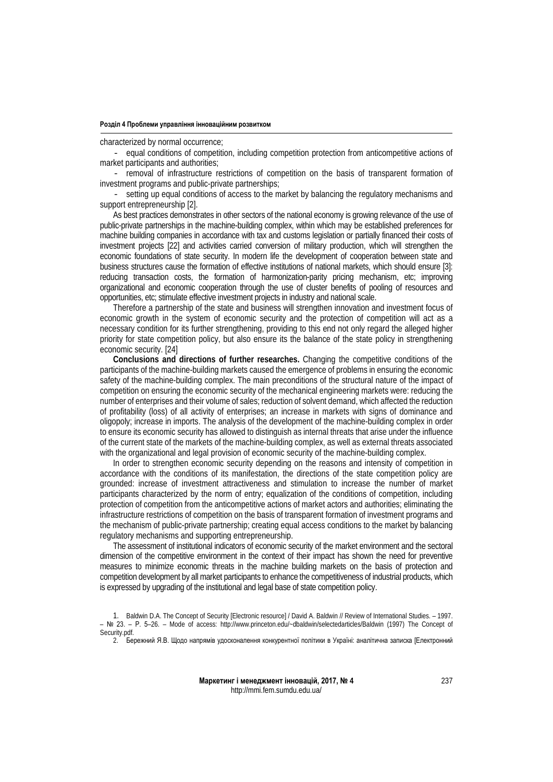characterized by normal occurrence;

- equal conditions of competition, including competition protection from anticompetitive actions of market participants and authorities;

- removal of infrastructure restrictions of competition on the basis of transparent formation of investment programs and public-private partnerships;

- setting up equal conditions of access to the market by balancing the regulatory mechanisms and support entrepreneurship [2].

As best practices demonstrates in other sectors of the national economy is growing relevance of the use of public-private partnerships in the machine-building complex, within which may be established preferences for machine building companies in accordance with tax and customs legislation or partially financed their costs of investment projects [22] and activities carried conversion of military production, which will strengthen the economic foundations of state security. In modern life the development of cooperation between state and business structures cause the formation of effective institutions of national markets, which should ensure [3]: reducing transaction costs, the formation of harmonization-parity pricing mechanism, etc; improving organizational and economic cooperation through the use of cluster benefits of pooling of resources and opportunities, etc; stimulate effective investment projects in industry and national scale.

Therefore a partnership of the state and business will strengthen innovation and investment focus of economic growth in the system of economic security and the protection of competition will act as a necessary condition for its further strengthening, providing to this end not only regard the alleged higher priority for state competition policy, but also ensure its the balance of the state policy in strengthening economic security. [24]

**Conclusions and directions of further researches.** Changing the competitive conditions of the participants of the machine-building markets caused the emergence of problems in ensuring the economic safety of the machine-building complex. The main preconditions of the structural nature of the impact of competition on ensuring the economic security of the mechanical engineering markets were: reducing the number of enterprises and their volume of sales; reduction of solvent demand, which affected the reduction of profitability (loss) of all activity of enterprises; an increase in markets with signs of dominance and oligopoly; increase in imports. The analysis of the development of the machine-building complex in order to ensure its economic security has allowed to distinguish as internal threats that arise under the influence of the current state of the markets of the machine-building complex, as well as external threats associated with the organizational and legal provision of economic security of the machine-building complex.

In order to strengthen economic security depending on the reasons and intensity of competition in accordance with the conditions of its manifestation, the directions of the state competition policy are grounded: increase of investment attractiveness and stimulation to increase the number of market participants characterized by the norm of entry; equalization of the conditions of competition, including protection of competition from the anticompetitive actions of market actors and authorities; eliminating the infrastructure restrictions of competition on the basis of transparent formation of investment programs and the mechanism of public-private partnership; creating equal access conditions to the market by balancing regulatory mechanisms and supporting entrepreneurship.

The assessment of institutional indicators of economic security of the market environment and the sectoral dimension of the competitive environment in the context of their impact has shown the need for preventive measures to minimize economic threats in the machine building markets on the basis of protection and competition development by all market participants to enhance the competitiveness of industrial products, which is expressed by upgrading of the institutional and legal base of state competition policy.

2. Бережний Я.В. Щодо напрямів удосконалення конкурентної політики в Україні: аналітична записка [Електронний

<sup>1.</sup> Baldwin D.A. The Concept of Security [Electronic resource] / David A. Baldwin // Review of International Studies. – 1997. – № 23. – Р. 5–26. – Mode of access: http://www.princeton.edu/~dbaldwin/selectedarticles/Baldwin (1997) The Concept of Security.pdf.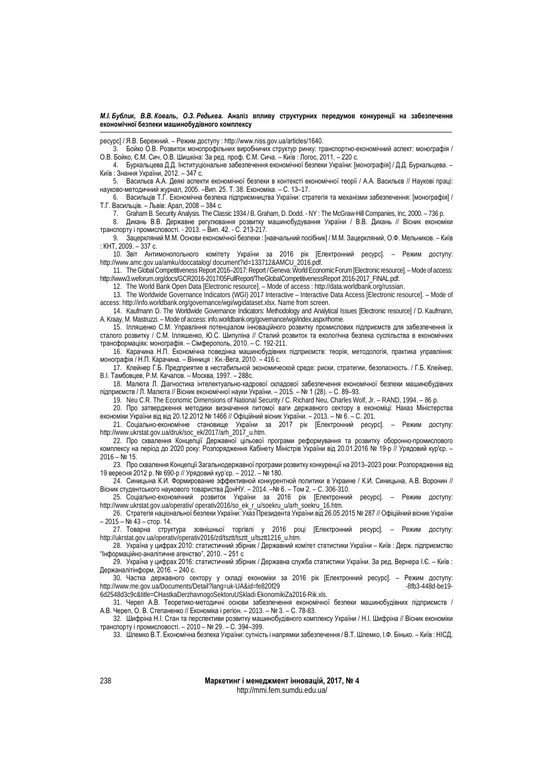ресурс] / Я.В. Бережний. – Режим доступу : http://www.niss.gov.ua/articles/1640.

3. Бойко О.В. Розвиток монопрофільних виробничих структур ринку: транспортно-економічний аспект: монографія / О.В. Бойко, Є.М. Сич, О.В. Шишкіна: За ред. проф. Є.М. Сича. – Київ : Логос, 2011. – 220 с.

4. Буркальцева Д.Д. Інституціональне забезпечення економічної безпеки України: [монографія] / Д.Д. Буркальцева. – Київ : Знання України, 2012. – 347 с.

5. Васильєв А.А. Деякі аспекти економічної безпеки в контексті економічної теорії / А.А. Васильєв // Наукові праці: науково-методичний журнал, 2005. –Вип. 25. Т. 38. Економіка. – С. 13–17.

6. Васильців Т.Г. Економічна безпека підприємництва України: стратегія та механізми забезпечення: [монографія] / Т.Г. Васильців. – Львів: Арал, 2008 – 384 с.

7. Graham B. Security Analysis. The Classic 1934 / B. Graham, D. Dodd. - NY : The McGraw-Hill Companies, Inc, 2000. – 736 p.

8. Дикань В.В. Державне регулювання розвитку машинобудування України / В.В. Дикань // Вісник економіки транспорту і промисловості. - 2013. – Вип. 42. - С. 213-217.

9. Зацеркляний М.М. Основи економічної безпеки : [навчальний посібник] / М.М. Зацеркляний, О.Ф. Мельников. – Київ : КНТ, 2009. – 337 с.

10. Звіт Антимонопольного комітету України за 2016 рік [Електронний ресурс]. – Режим доступу: http://www.amc.gov.ua/amku/doccatalog/ document?id=133712&AMCU\_2016.pdf.

11. The Global Competitiveness Report 2016–2017: Report / Geneva: World Economic Forum [Electronic resource]. –Mode of access: http://www3.weforum.org/docs/GCR2016-2017/05FullReport/TheGlobalCompetitivenessReport 2016-2017\_FINAL.pdf.

12. The World Bank Open Data [Electronic resource]. – Mode of access : http://data.worldbank.org/russian.

13. The Worldwide Governance Indicators (WGI) 2017 Interactive – Interactive Data Access [Electronic resource]. – Mode of access: http://info.worldbank.org/governance/wgi/wgidataset.xlsx. Name from screen.

14. Kaufmann D. The Worldwide Governance Indicators: Methodology and Analytical Issues [Electronic resource] / D. Kaufmann, A. Kraay, M. Mastruzzi. - Mode of access: info.worldbank.org/governance/wgi/index.aspx#home.

15. Ілляшенко С.М. Управління потенціалом інноваційного розвитку промислових підприємств для забезпечення їх сталого розвитку / С.М. Ілляшенко, Ю.С. Шипуліна // Сталий розвиток та екологічна безпека суспільства в економічних трансформаціях: монографія. – Сімферополь, 2010. – С. 192-211.

16. Карачина Н.П. Економічна поведінка машинобудівних підприємств: теорія, методологія, практика управління: монографія / Н.П. Карачина. – Вінниця : Кн.-Вега, 2010. – 416 c.

17. Клейнер Г.Б. Предприятие в нестабильной экономической среде: риски, стратегии, безопасность. / Г.Б. Клейнер, B.I. Тамбовцев, P.M. Качалов. – Москва, 1997. – 288с.

18. Малюта Л. Діагностика інтелектуально-кадрової складової забезпечення економічної безпеки машинобудівних підприємств / Л. Малюта // Вісник економічної науки України. – 2015. – № 1 (28). – С. 89–93.

19. Neu C.R. The Economic Dimensions of National Security / C. Richard Neu, Charles Wolf, Jr. – RAND, 1994. – 86 p.

20. Про затвердження методики визначення питомої ваги державного сектору в економіці: Наказ Міністерства економіки України від від 20.12.2012 № 1466 // Офіційний вісник України. – 2013. – № 6. – С. 201.

21. Соціально-економічне становище України за 2017 рік [Електронний ресурс]. – Режим доступу: http://www.ukrstat.gov.ua/druk/soc\_ek/2017/arh\_2017\_u.htm.

22. Про схвалення Концепції Державної цільової програми реформування та розвитку оборонно-промислового комплексу на період до 2020 року: Розпорядження Кабінету Міністрів України від 20.01.2016 № 19-р // Урядовий кур'єр. – 2016 – № 15.

23. Про схвалення Концепції Загальнодержавної програми розвитку конкуренції на 2013–2023 роки: Розпорядження від 19 вересня 2012 р. № 690-р // Урядовий кур'єр. – 2012. – № 180.

24. Синицына К.И. Формирование эффективной конкурентной политики в Украине / К.И. Синицына, А.В. Воронин // Вісник студентського наукового товариства ДонНУ. – 2014. –№ 6. – Том 2. – C. 306-310.

25. Соціально-економічний розвиток України за 2016 рік [Електронний ресурс]. – Режим доступу: http://www.ukrstat.gov.ua/operativ/ operativ2016/so\_ek\_r\_u/soekru\_u/arh\_soekru\_16.htm.

26. Стратегія національної безпеки України: Указ Президента України від 26.05.2015 № 287 // Офіційний вісник України – 2015 – № 43 – стор. 14.

27. Товарна структура зовнішньої торгівлі у 2016 році [Електронний ресурс]. – Режим доступу: http://ukrstat.gov.ua/operativ/operativ2016/zd/tsztt/tsztt\_u/tsztt1216\_u.htm.

28. Україна у цифрах 2010: статистичний збірник / Державний комітет статистики України – Київ : Держ. підприємство "Інформаційно-аналітичне агенство", 2010. – 251 с

29. Україна у цифрах 2016: статистичний збірник / Державна служба статистики України. За ред. Вернера І.Є. – Київ : Держаналітінформ, 2016. – 240 с.

30. Частка державного сектору у складі економіки за 2016 рік [Електронний ресурс]. – Режим доступу: http://www.me.gov.ua/Documents/Detail?lang=uk-UA&id=fe820f29 6d2548d3c9c&title=CHastkaDerzhavnogoSektoruUSkladi EkonomikiZa2016-Rik.xls.

31. Череп А.В. Теоретико-методичні основи забезпечення економічної безпеки машинобудівних підприємств / А.В. Череп, О. В. Степаненко // Економіка і регіон. – 2013. – № 3. – С. 78-83.

32. Шифріна Н.І. Стан та перспективи розвитку машинобудівного комплексу України / Н.І. Шифріна // Вісник економіки транспорту і промисловості. – 2010 – № 29. – С. 394–399.

33. Шлемко В.Т. Економічна безпека України: сутність і напрямки забезпечення / В.Т. Шлемко, І.Ф. Бінько. – Київ : НІСД,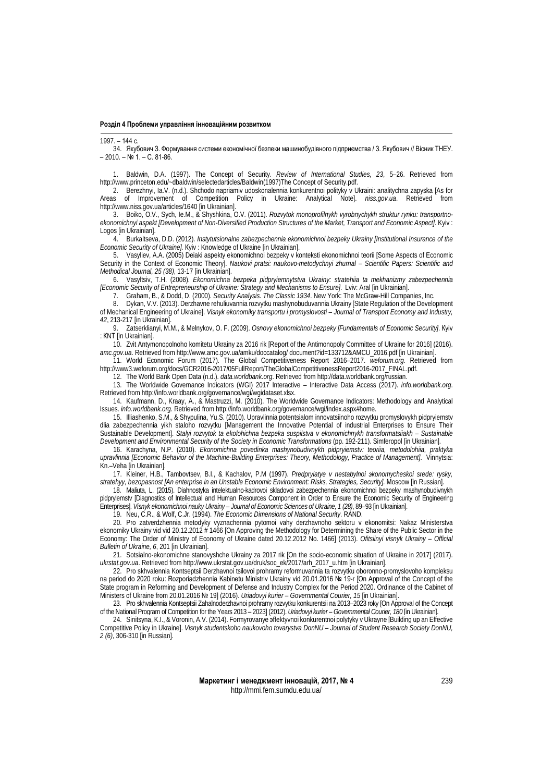1997. – 144 с.

34. Якубович З. Формування системи економічної безпеки машинобудівного підприємства / З. Якубович // Вісник ТНЕУ. – 2010. – № 1. – С. 81-86.

1. Baldwin, D.A. (1997). The Concept of Security. *Review of International Studies, 23*, 5–26. Retrieved from http://www.princeton.edu/~dbaldwin/selectedarticles/Baldwin(1997)The Concept of Security.pdf.

2. Berezhnyi, Ia.V. (n.d.). Shchodo napriamiv udoskonalennia konkurentnoi polityky v Ukraini: analitychna zapyska [As for Areas of Improvement of Competition Policy in Ukraine: Analytical Note]. *niss.gov.ua*. Retrieved from <http://www.niss.gov.ua/articles/1640> [in Ukrainian].

3. Boiko, O.V., Sych, Ie.M., & Shyshkina, O.V. (2011). *Rozvytok monoprofilnykh vyrobnychykh struktur rynku: transportnoekonomichnyi aspekt [Development of Non-Diversified Production Structures of the Market, Transport and Economic Aspect]*. Kyiv : Logos [in Ukrainian].

4. Burkaltseva, D.D. (2012). *Instytutsionalne zabezpechennia ekonomichnoi bezpeky Ukrainy [Institutional Insurance of the Economic Security of Ukraine].* Кyiv : Knowledge of Ukraine [in Ukrainian].

5. Vasyliev, A.A. (2005) Deiaki aspekty ekonomichnoi bezpeky v konteksti ekonomichnoi teorii [Some Aspects of Economic Security in the Context of Economic Theory]. *Naukovi pratsi: naukovo-metodychnyi zhurnal – Scientific Papers: Scientific and Methodical Journal, 25 (38)*, 13-17 [in Ukrainian].

6. Vasyltsiv, T.H. (2008). *Ekonomichna bezpeka pidpryiemnytstva Ukrainy: stratehiia ta mekhanizmy zabezpechennia [Economic Security of Entrepreneurship of Ukraine: Strategy and Mechanisms to Ensure]*. Lviv: Aral [in Ukrainian].

7. Graham, B., & Dodd, D. (2000). *Security Analysis. The Classic 1934*. New York: The McGraw-Hill Companies, Inc.

8. Dykan, V.V. (2013). Derzhavne rehuliuvannia rozvytku mashynobuduvannia Ukrainy [State Regulation of the Development of Mechanical Engineering of Ukraine]. *Visnyk ekonomiky transportu i promyslovosti – Journal of Transport Economy and Industry, 42*, 213-217 [in Ukrainian].

9. Zatserklianyi, M.M., & Melnykov, O. F. (2009). *Osnovy ekonomichnoi bezpeky [Fundamentals of Economic Security]*. Кyiv : КNТ [in Ukrainian].

10. Zvit Antymonopolnoho komitetu Ukrainy za 2016 rik [Report of the Antimonopoly Committee of Ukraine for 2016] (2016). *amc.gov.ua*. Retrieved from http://www.amc.gov.ua/amku/doccatalog/ document?id=133712&AMCU\_2016.pdf [in Ukrainian].

11. World Economic Forum (2017). The Global Competitiveness Report 2016–2017. *weforum.org*. Retrieved from http://www3.weforum.org/docs/GCR2016-2017/05FullReport/TheGlobalCompetitivenessReport2016-2017\_FINAL.pdf.

12. The World Bank Open Data (n.d.). *data.worldbank.org*. Retrieved from http://data.worldbank.org/russian.

13. The Worldwide Governance Indicators (WGI) 2017 Interactive – Interactive Data Access (2017). *info.worldbank.org*. Retrieved from http://info.worldbank.org/governance/wgi/wgidataset.xlsx.

14. Kaufmann, D., Kraay, A., & Mastruzzi, M. (2010). The Worldwide Governance Indicators: Methodology and Analytical Issues. *info.worldbank.org*. Retrieved from http://info.worldbank.org/governance/wgi/index.aspx#home.

15. Illiashenko, S.M., & Shypulina, Yu.S. (2010). Upravlinnia potentsialom innovatsiinoho rozvytku promyslovykh pidpryiemstv dlia zabezpechennia yikh staloho rozvytku [Management the Innovative Potential of industrial Enterprises to Ensure Their Sustainable Development]. *Stalyi rozvytok ta ekolohichna bezpeka suspilstva v ekonomichnykh transformatsiiakh – Sustainable Development and Environmental Security of the Society in Economic Transformations* (pp. 192-211). Simferopol [in Ukrainian].

16. Karachyna, N.P. (2010). *Ekonomichna povedinka mashynobudivnykh pidpryiemstv: teoriia, metodolohiia, praktyka upravlinnia [Economic Behavior of the Machine-Building Enterprises: Theory, Methodology, Practice of Management]*. Vinnytsia: Kn.–Veha [in Ukrainian].

17. Kleiner, H.B., Tambovtsev, B.I., & Kachalov, P.M (1997). *Predpryiatye v nestabylnoi эkonomycheskoi srede: rysky, stratehyy, bezopasnost [An enterprise in an Unstable Economic Environment: Risks, Strategies, Security].* Мoscow [in Russian].

18. Maliuta, L. (2015). Diahnostyka intelektualno-kadrovoi skladovoi zabezpechennia ekonomichnoi bezpeky mashynobudivnykh pidpryiemstv [Diagnostics of Intellectual and Human Resources Component in Order to Ensure the Economic Security of Engineering Enterprises]. *Visnyk ekonomichnoi nauky Ukrainy – Journal of Economic Sciences of Ukraine, 1 (28)*, 89–93 [in Ukrainian].

19. Neu, C.R., & Wolf, C.Jr. (1994). *The Economic Dimensions of National Security*. RAND.

20. Pro zatverdzhennia metodyky vyznachennia pytomoi vahy derzhavnoho sektoru v ekonomitsi: Nakaz Ministerstva ekonomiky Ukrainy vid vid 20.12.2012 # 1466 [On Approving the Methodology for Determining the Share of the Public Sector in the Economy: The Order of Ministry of Economy of Ukraine dated 20.12.2012 No. 1466] (2013). *Ofitsiinyi visnyk Ukrainy – Official Bulletin of Ukraine, 6*, 201 [in Ukrainian].

21. Sotsialno-ekonomichne stanovyshche Ukrainy za 2017 rik [On the socio-economic situation of Ukraine in 2017] (2017). *ukrstat.gov.ua*. Retrieved from [http://www.ukrstat.gov.ua/druk/soc\\_ek/2017/arh\\_2017\\_u.htm](http://www.ukrstat.gov.ua/druk/soc_ek/2017/arh_2017_u.htm) [in Ukrainian].

22. Pro skhvalennia Kontseptsii Derzhavnoi tsilovoi prohramy reformuvannia ta rozvytku oboronno-promyslovoho kompleksu na period do 2020 roku: Rozporiadzhennia Kabinetu Ministriv Ukrainy vid 20.01.2016 № 19-r [On Approval of the Concept of the State program in Reforming and Development of Defense and Industry Complex for the Period 2020. Ordinance of the Cabinet of Ministers of Ukraine from 20.01.2016 № 19] (2016). *Uriadovyi kurier – Governmental Courier, 15* [in Ukrainian].

23. Pro skhvalennia Kontseptsii Zahalnoderzhavnoi prohramy rozvytku konkurentsii na 2013–2023 roky [On Approval of the Concept of the National Program of Competition for the Years 2013 – 2023] (2012). *Uriadovyi kurier – Governmental Courier, 180* [in Ukrainian].

24. Sinitsyna, K.I., & Voronin, A.V. (2014). Formyrovanye эffektyvnoi konkurentnoi polytyky v Ukrayne [Building up an Effective Competitive Policy in Ukraine]. *Visnyk studentskoho naukovoho tovarystva DonNU – Journal of Student Research Society DonNU, 2 [\(6\)](http://jvestnik-sss.donnu.edu.ua/issue/view/17)*, 306-310 [in Russian].